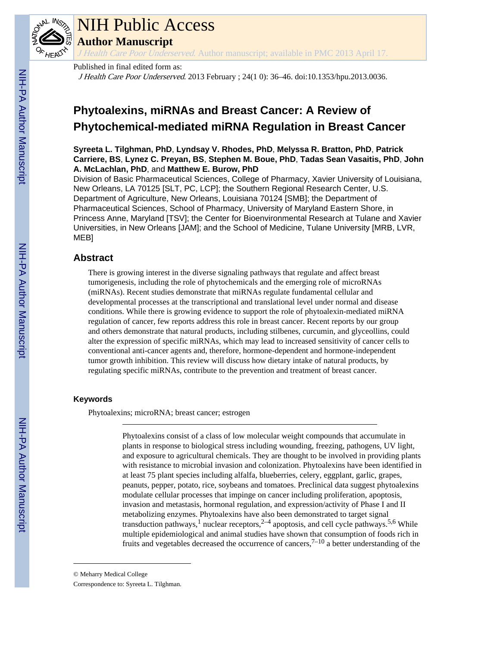

# NIH Public Access

**Author Manuscript**

J Health Care Poor Underserved. Author manuscript; available in PMC 2013 April 17.

Published in final edited form as:

J Health Care Poor Underserved. 2013 February ; 24(1 0): 36–46. doi:10.1353/hpu.2013.0036.

# **Phytoalexins, miRNAs and Breast Cancer: A Review of Phytochemical-mediated miRNA Regulation in Breast Cancer**

**Syreeta L. Tilghman, PhD**, **Lyndsay V. Rhodes, PhD**, **Melyssa R. Bratton, PhD**, **Patrick Carriere, BS**, **Lynez C. Preyan, BS**, **Stephen M. Boue, PhD**, **Tadas Sean Vasaitis, PhD**, **John A. McLachlan, PhD**, and **Matthew E. Burow, PhD**

Division of Basic Pharmaceutical Sciences, College of Pharmacy, Xavier University of Louisiana, New Orleans, LA 70125 [SLT, PC, LCP]; the Southern Regional Research Center, U.S. Department of Agriculture, New Orleans, Louisiana 70124 [SMB]; the Department of Pharmaceutical Sciences, School of Pharmacy, University of Maryland Eastern Shore, in Princess Anne, Maryland [TSV]; the Center for Bioenvironmental Research at Tulane and Xavier Universities, in New Orleans [JAM]; and the School of Medicine, Tulane University [MRB, LVR, MEB]

# **Abstract**

There is growing interest in the diverse signaling pathways that regulate and affect breast tumorigenesis, including the role of phytochemicals and the emerging role of microRNAs (miRNAs). Recent studies demonstrate that miRNAs regulate fundamental cellular and developmental processes at the transcriptional and translational level under normal and disease conditions. While there is growing evidence to support the role of phytoalexin-mediated miRNA regulation of cancer, few reports address this role in breast cancer. Recent reports by our group and others demonstrate that natural products, including stilbenes, curcumin, and glyceollins, could alter the expression of specific miRNAs, which may lead to increased sensitivity of cancer cells to conventional anti-cancer agents and, therefore, hormone-dependent and hormone-independent tumor growth inhibition. This review will discuss how dietary intake of natural products, by regulating specific miRNAs, contribute to the prevention and treatment of breast cancer.

#### **Keywords**

Phytoalexins; microRNA; breast cancer; estrogen

Phytoalexins consist of a class of low molecular weight compounds that accumulate in plants in response to biological stress including wounding, freezing, pathogens, UV light, and exposure to agricultural chemicals. They are thought to be involved in providing plants with resistance to microbial invasion and colonization. Phytoalexins have been identified in at least 75 plant species including alfalfa, blueberries, celery, eggplant, garlic, grapes, peanuts, pepper, potato, rice, soybeans and tomatoes. Preclinical data suggest phytoalexins modulate cellular processes that impinge on cancer including proliferation, apoptosis, invasion and metastasis, hormonal regulation, and expression/activity of Phase I and II metabolizing enzymes. Phytoalexins have also been demonstrated to target signal transduction pathways,<sup>1</sup> nuclear receptors,<sup>2-4</sup> apoptosis, and cell cycle pathways.<sup>5,6</sup> While multiple epidemiological and animal studies have shown that consumption of foods rich in fruits and vegetables decreased the occurrence of cancers,  $7-10$  a better understanding of the

<sup>©</sup> Meharry Medical College

Correspondence to: Syreeta L. Tilghman.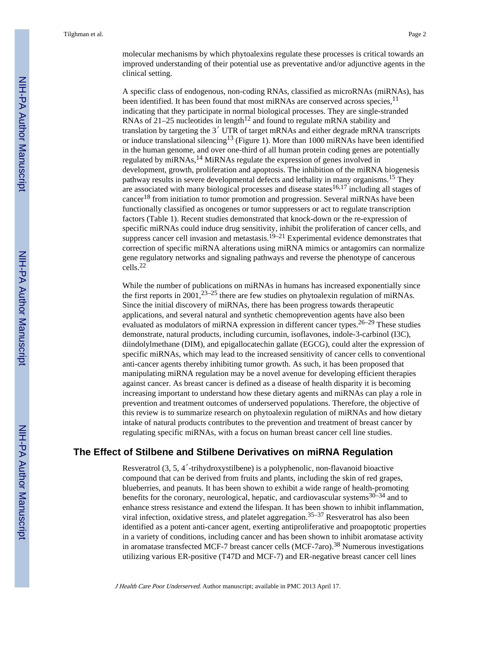molecular mechanisms by which phytoalexins regulate these processes is critical towards an improved understanding of their potential use as preventative and/or adjunctive agents in the clinical setting.

A specific class of endogenous, non-coding RNAs, classified as microRNAs (miRNAs), has been identified. It has been found that most miRNAs are conserved across species,  $11$ indicating that they participate in normal biological processes. They are single-stranded RNAs of 21–25 nucleotides in length<sup>12</sup> and found to regulate mRNA stability and translation by targeting the 3′ UTR of target mRNAs and either degrade mRNA transcripts or induce translational silencing<sup>13</sup> (Figure 1). More than 1000 miRNAs have been identified in the human genome, and over one-third of all human protein coding genes are potentially regulated by miRNAs,<sup>14</sup> MiRNAs regulate the expression of genes involved in development, growth, proliferation and apoptosis. The inhibition of the miRNA biogenesis pathway results in severe developmental defects and lethality in many organisms.15 They are associated with many biological processes and disease states $16,17$  including all stages of  $cancer<sup>18</sup>$  from initiation to tumor promotion and progression. Several miRNAs have been functionally classified as oncogenes or tumor suppressers or act to regulate transcription factors (Table 1). Recent studies demonstrated that knock-down or the re-expression of specific miRNAs could induce drug sensitivity, inhibit the proliferation of cancer cells, and suppress cancer cell invasion and metastasis.<sup>19–21</sup> Experimental evidence demonstrates that correction of specific miRNA alterations using miRNA mimics or antagomirs can normalize gene regulatory networks and signaling pathways and reverse the phenotype of cancerous cells.<sup>22</sup>

While the number of publications on miRNAs in humans has increased exponentially since the first reports in  $2001$ ,  $23-25$  there are few studies on phytoalexin regulation of miRNAs. Since the initial discovery of miRNAs, there has been progress towards therapeutic applications, and several natural and synthetic chemoprevention agents have also been evaluated as modulators of miRNA expression in different cancer types.26–29 These studies demonstrate, natural products, including curcumin, isoflavones, indole-3-carbinol (I3C), diindolylmethane (DIM), and epigallocatechin gallate (EGCG), could alter the expression of specific miRNAs, which may lead to the increased sensitivity of cancer cells to conventional anti-cancer agents thereby inhibiting tumor growth. As such, it has been proposed that manipulating miRNA regulation may be a novel avenue for developing efficient therapies against cancer. As breast cancer is defined as a disease of health disparity it is becoming increasing important to understand how these dietary agents and miRNAs can play a role in prevention and treatment outcomes of underserved populations. Therefore, the objective of this review is to summarize research on phytoalexin regulation of miRNAs and how dietary intake of natural products contributes to the prevention and treatment of breast cancer by regulating specific miRNAs, with a focus on human breast cancer cell line studies.

#### **The Effect of Stilbene and Stilbene Derivatives on miRNA Regulation**

Resveratrol (3, 5, 4′-trihydroxystilbene) is a polyphenolic, non-flavanoid bioactive compound that can be derived from fruits and plants, including the skin of red grapes, blueberries, and peanuts. It has been shown to exhibit a wide range of health-promoting benefits for the coronary, neurological, hepatic, and cardiovascular systems $30-34$  and to enhance stress resistance and extend the lifespan. It has been shown to inhibit inflammation, viral infection, oxidative stress, and platelet aggregation.<sup>35–37</sup> Resveratrol has also been identified as a potent anti-cancer agent, exerting antiproliferative and proapoptotic properties in a variety of conditions, including cancer and has been shown to inhibit aromatase activity in aromatase transfected MCF-7 breast cancer cells (MCF-7aro).<sup>38</sup> Numerous investigations utilizing various ER-positive (T47D and MCF-7) and ER-negative breast cancer cell lines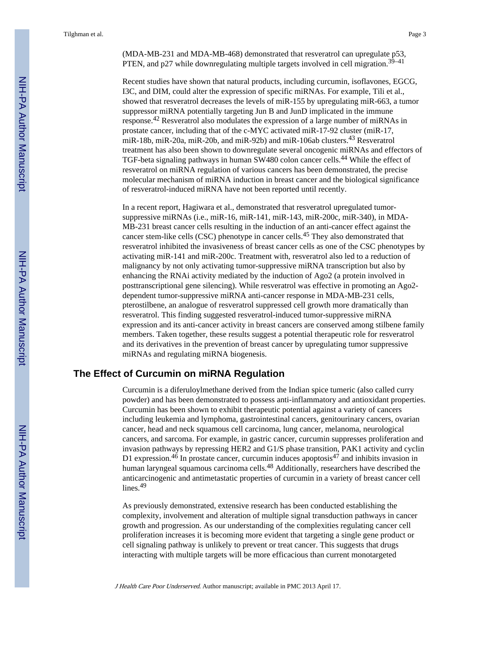(MDA-MB-231 and MDA-MB-468) demonstrated that resveratrol can upregulate p53, PTEN, and p27 while downregulating multiple targets involved in cell migration.<sup>39–41</sup>

Recent studies have shown that natural products, including curcumin, isoflavones, EGCG, I3C, and DIM, could alter the expression of specific miRNAs. For example, Tili et al., showed that resveratrol decreases the levels of miR-155 by upregulating miR-663, a tumor suppressor miRNA potentially targeting Jun B and JunD implicated in the immune response.42 Resveratrol also modulates the expression of a large number of miRNAs in prostate cancer, including that of the c-MYC activated miR-17-92 cluster (miR-17, miR-18b, miR-20a, miR-20b, and miR-92b) and miR-106ab clusters.43 Resveratrol treatment has also been shown to downregulate several oncogenic miRNAs and effectors of TGF-beta signaling pathways in human SW480 colon cancer cells.<sup>44</sup> While the effect of resveratrol on miRNA regulation of various cancers has been demonstrated, the precise molecular mechanism of miRNA induction in breast cancer and the biological significance of resveratrol-induced miRNA have not been reported until recently.

In a recent report, Hagiwara et al., demonstrated that resveratrol upregulated tumorsuppressive miRNAs (i.e., miR-16, miR-141, miR-143, miR-200c, miR-340), in MDA-MB-231 breast cancer cells resulting in the induction of an anti-cancer effect against the cancer stem-like cells (CSC) phenotype in cancer cells.45 They also demonstrated that resveratrol inhibited the invasiveness of breast cancer cells as one of the CSC phenotypes by activating miR-141 and miR-200c. Treatment with, resveratrol also led to a reduction of malignancy by not only activating tumor-suppressive miRNA transcription but also by enhancing the RNAi activity mediated by the induction of Ago2 (a protein involved in posttranscriptional gene silencing). While resveratrol was effective in promoting an Ago2 dependent tumor-suppressive miRNA anti-cancer response in MDA-MB-231 cells, pterostilbene, an analogue of resveratrol suppressed cell growth more dramatically than resveratrol. This finding suggested resveratrol-induced tumor-suppressive miRNA expression and its anti-cancer activity in breast cancers are conserved among stilbene family members. Taken together, these results suggest a potential therapeutic role for resveratrol and its derivatives in the prevention of breast cancer by upregulating tumor suppressive miRNAs and regulating miRNA biogenesis.

#### **The Effect of Curcumin on miRNA Regulation**

Curcumin is a diferuloylmethane derived from the Indian spice tumeric (also called curry powder) and has been demonstrated to possess anti-inflammatory and antioxidant properties. Curcumin has been shown to exhibit therapeutic potential against a variety of cancers including leukemia and lymphoma, gastrointestinal cancers, genitourinary cancers, ovarian cancer, head and neck squamous cell carcinoma, lung cancer, melanoma, neurological cancers, and sarcoma. For example, in gastric cancer, curcumin suppresses proliferation and invasion pathways by repressing HER2 and G1/S phase transition, PAK1 activity and cyclin D1 expression.<sup>46</sup> In prostate cancer, curcumin induces apoptosis<sup>47</sup> and inhibits invasion in human laryngeal squamous carcinoma cells.<sup>48</sup> Additionally, researchers have described the anticarcinogenic and antimetastatic properties of curcumin in a variety of breast cancer cell lines.<sup>49</sup>

As previously demonstrated, extensive research has been conducted establishing the complexity, involvement and alteration of multiple signal transduction pathways in cancer growth and progression. As our understanding of the complexities regulating cancer cell proliferation increases it is becoming more evident that targeting a single gene product or cell signaling pathway is unlikely to prevent or treat cancer. This suggests that drugs interacting with multiple targets will be more efficacious than current monotargeted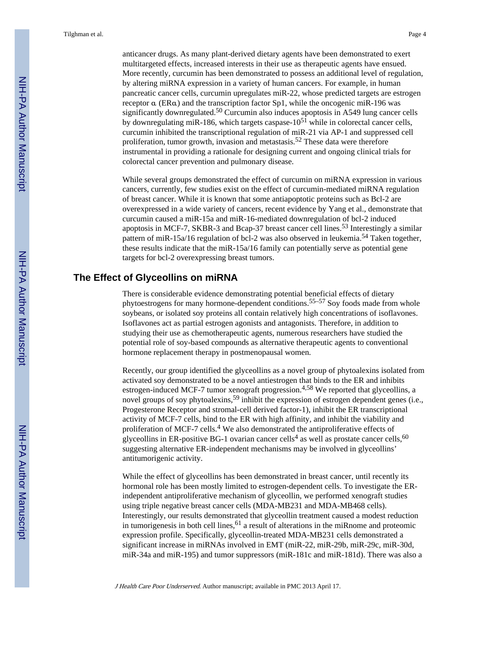anticancer drugs. As many plant-derived dietary agents have been demonstrated to exert multitargeted effects, increased interests in their use as therapeutic agents have ensued. More recently, curcumin has been demonstrated to possess an additional level of regulation, by altering miRNA expression in a variety of human cancers. For example, in human pancreatic cancer cells, curcumin upregulates miR-22, whose predicted targets are estrogen receptor α (ERα) and the transcription factor Sp1, while the oncogenic miR-196 was significantly downregulated.<sup>50</sup> Curcumin also induces apoptosis in A549 lung cancer cells by downregulating miR-186, which targets caspase- $10^{51}$  while in colorectal cancer cells, curcumin inhibited the transcriptional regulation of miR-21 via AP-1 and suppressed cell proliferation, tumor growth, invasion and metastasis.<sup>52</sup> These data were therefore instrumental in providing a rationale for designing current and ongoing clinical trials for colorectal cancer prevention and pulmonary disease.

While several groups demonstrated the effect of curcumin on miRNA expression in various cancers, currently, few studies exist on the effect of curcumin-mediated miRNA regulation of breast cancer. While it is known that some antiapoptotic proteins such as Bcl-2 are overexpressed in a wide variety of cancers, recent evidence by Yang et al., demonstrate that curcumin caused a miR-15a and miR-16-mediated downregulation of bcl-2 induced apoptosis in MCF-7, SKBR-3 and Bcap-37 breast cancer cell lines.<sup>53</sup> Interestingly a similar pattern of miR-15a/16 regulation of bcl-2 was also observed in leukemia.<sup>54</sup> Taken together, these results indicate that the miR-15a/16 family can potentially serve as potential gene targets for bcl-2 overexpressing breast tumors.

#### **The Effect of Glyceollins on miRNA**

There is considerable evidence demonstrating potential beneficial effects of dietary phytoestrogens for many hormone-dependent conditions.55–57 Soy foods made from whole soybeans, or isolated soy proteins all contain relatively high concentrations of isoflavones. Isoflavones act as partial estrogen agonists and antagonists. Therefore, in addition to studying their use as chemotherapeutic agents, numerous researchers have studied the potential role of soy-based compounds as alternative therapeutic agents to conventional hormone replacement therapy in postmenopausal women.

Recently, our group identified the glyceollins as a novel group of phytoalexins isolated from activated soy demonstrated to be a novel antiestrogen that binds to the ER and inhibits estrogen-induced MCF-7 tumor xenograft progression.4,58 We reported that glyceollins, a novel groups of soy phytoalexins,<sup>59</sup> inhibit the expression of estrogen dependent genes (i.e., Progesterone Receptor and stromal-cell derived factor-1), inhibit the ER transcriptional activity of MCF-7 cells, bind to the ER with high affinity, and inhibit the viability and proliferation of MCF-7 cells.<sup>4</sup> We also demonstrated the antiproliferative effects of glyceollins in ER-positive BG-1 ovarian cancer cells<sup>4</sup> as well as prostate cancer cells,<sup>60</sup> suggesting alternative ER-independent mechanisms may be involved in glyceollins' antitumorigenic activity.

While the effect of glyceollins has been demonstrated in breast cancer, until recently its hormonal role has been mostly limited to estrogen-dependent cells. To investigate the ERindependent antiproliferative mechanism of glyceollin, we performed xenograft studies using triple negative breast cancer cells (MDA-MB231 and MDA-MB468 cells). Interestingly, our results demonstrated that glyceollin treatment caused a modest reduction in tumorigenesis in both cell lines,  $61$  a result of alterations in the miRnome and proteomic expression profile. Specifically, glyceollin-treated MDA-MB231 cells demonstrated a significant increase in miRNAs involved in EMT (miR-22, miR-29b, miR-29c, miR-30d, miR-34a and miR-195) and tumor suppressors (miR-181c and miR-181d). There was also a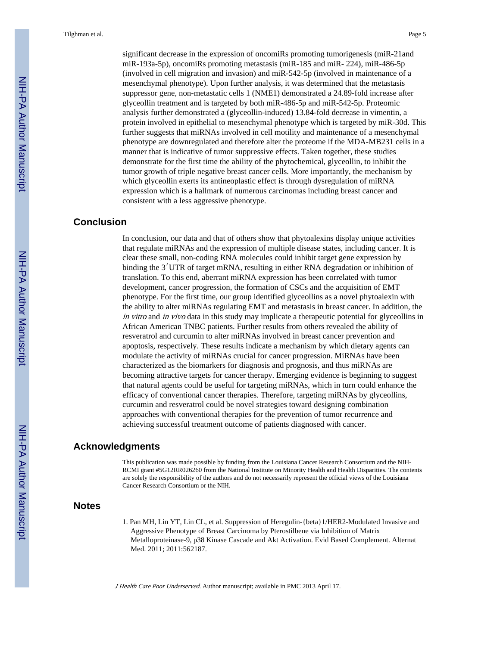significant decrease in the expression of oncomiRs promoting tumorigenesis (miR-21and miR-193a-5p), oncomiRs promoting metastasis (miR-185 and miR- 224), miR-486-5p (involved in cell migration and invasion) and miR-542-5p (involved in maintenance of a mesenchymal phenotype). Upon further analysis, it was determined that the metastasis suppressor gene, non-metastatic cells 1 (NME1) demonstrated a 24.89-fold increase after glyceollin treatment and is targeted by both miR-486-5p and miR-542-5p. Proteomic analysis further demonstrated a (glyceollin-induced) 13.84-fold decrease in vimentin, a protein involved in epithelial to mesenchymal phenotype which is targeted by miR-30d. This further suggests that miRNAs involved in cell motility and maintenance of a mesenchymal phenotype are downregulated and therefore alter the proteome if the MDA-MB231 cells in a manner that is indicative of tumor suppressive effects. Taken together, these studies demonstrate for the first time the ability of the phytochemical, glyceollin, to inhibit the tumor growth of triple negative breast cancer cells. More importantly, the mechanism by which glyceollin exerts its antineoplastic effect is through dysregulation of miRNA expression which is a hallmark of numerous carcinomas including breast cancer and consistent with a less aggressive phenotype.

## **Conclusion**

In conclusion, our data and that of others show that phytoalexins display unique activities that regulate miRNAs and the expression of multiple disease states, including cancer. It is clear these small, non-coding RNA molecules could inhibit target gene expression by binding the 3′UTR of target mRNA, resulting in either RNA degradation or inhibition of translation. To this end, aberrant miRNA expression has been correlated with tumor development, cancer progression, the formation of CSCs and the acquisition of EMT phenotype. For the first time, our group identified glyceollins as a novel phytoalexin with the ability to alter miRNAs regulating EMT and metastasis in breast cancer. In addition, the in vitro and in vivo data in this study may implicate a therapeutic potential for glyceollins in African American TNBC patients. Further results from others revealed the ability of resveratrol and curcumin to alter miRNAs involved in breast cancer prevention and apoptosis, respectively. These results indicate a mechanism by which dietary agents can modulate the activity of miRNAs crucial for cancer progression. MiRNAs have been characterized as the biomarkers for diagnosis and prognosis, and thus miRNAs are becoming attractive targets for cancer therapy. Emerging evidence is beginning to suggest that natural agents could be useful for targeting miRNAs, which in turn could enhance the efficacy of conventional cancer therapies. Therefore, targeting miRNAs by glyceollins, curcumin and resveratrol could be novel strategies toward designing combination approaches with conventional therapies for the prevention of tumor recurrence and achieving successful treatment outcome of patients diagnosed with cancer.

## **Acknowledgments**

This publication was made possible by funding from the Louisiana Cancer Research Consortium and the NIH-RCMI grant #5G12RR026260 from the National Institute on Minority Health and Health Disparities. The contents are solely the responsibility of the authors and do not necessarily represent the official views of the Louisiana Cancer Research Consortium or the NIH.

#### **Notes**

1. Pan MH, Lin YT, Lin CL, et al. Suppression of Heregulin-{beta}1/HER2-Modulated Invasive and Aggressive Phenotype of Breast Carcinoma by Pterostilbene via Inhibition of Matrix Metalloproteinase-9, p38 Kinase Cascade and Akt Activation. Evid Based Complement. Alternat Med. 2011; 2011:562187.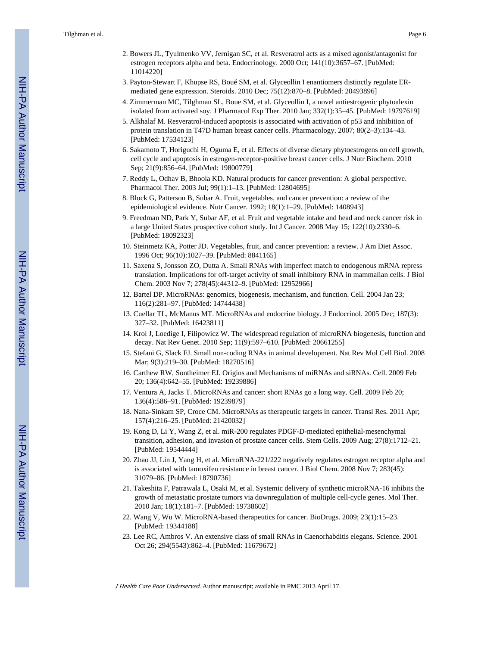- 2. Bowers JL, Tyulmenko VV, Jernigan SC, et al. Resveratrol acts as a mixed agonist/antagonist for estrogen receptors alpha and beta. Endocrinology. 2000 Oct; 141(10):3657–67. [PubMed: 11014220]
- 3. Payton-Stewart F, Khupse RS, Boué SM, et al. Glyceollin I enantiomers distinctly regulate ERmediated gene expression. Steroids. 2010 Dec; 75(12):870–8. [PubMed: 20493896]
- 4. Zimmerman MC, Tilghman SL, Boue SM, et al. Glyceollin I, a novel antiestrogenic phytoalexin isolated from activated soy. J Pharmacol Exp Ther. 2010 Jan; 332(1):35–45. [PubMed: 19797619]
- 5. Alkhalaf M. Resveratrol-induced apoptosis is associated with activation of p53 and inhibition of protein translation in T47D human breast cancer cells. Pharmacology. 2007; 80(2–3):134–43. [PubMed: 17534123]
- 6. Sakamoto T, Horiguchi H, Oguma E, et al. Effects of diverse dietary phytoestrogens on cell growth, cell cycle and apoptosis in estrogen-receptor-positive breast cancer cells. J Nutr Biochem. 2010 Sep; 21(9):856–64. [PubMed: 19800779]
- 7. Reddy L, Odhav B, Bhoola KD. Natural products for cancer prevention: A global perspective. Pharmacol Ther. 2003 Jul; 99(1):1–13. [PubMed: 12804695]
- 8. Block G, Patterson B, Subar A. Fruit, vegetables, and cancer prevention: a review of the epidemiological evidence. Nutr Cancer. 1992; 18(1):1–29. [PubMed: 1408943]
- 9. Freedman ND, Park Y, Subar AF, et al. Fruit and vegetable intake and head and neck cancer risk in a large United States prospective cohort study. Int J Cancer. 2008 May 15; 122(10):2330–6. [PubMed: 18092323]
- 10. Steinmetz KA, Potter JD. Vegetables, fruit, and cancer prevention: a review. J Am Diet Assoc. 1996 Oct; 96(10):1027–39. [PubMed: 8841165]
- 11. Saxena S, Jonsson ZO, Dutta A. Small RNAs with imperfect match to endogenous mRNA repress translation. Implications for off-target activity of small inhibitory RNA in mammalian cells. J Biol Chem. 2003 Nov 7; 278(45):44312–9. [PubMed: 12952966]
- 12. Bartel DP. MicroRNAs: genomics, biogenesis, mechanism, and function. Cell. 2004 Jan 23; 116(2):281–97. [PubMed: 14744438]
- 13. Cuellar TL, McManus MT. MicroRNAs and endocrine biology. J Endocrinol. 2005 Dec; 187(3): 327–32. [PubMed: 16423811]
- 14. Krol J, Loedige I, Filipowicz W. The widespread regulation of microRNA biogenesis, function and decay. Nat Rev Genet. 2010 Sep; 11(9):597–610. [PubMed: 20661255]
- 15. Stefani G, Slack FJ. Small non-coding RNAs in animal development. Nat Rev Mol Cell Biol. 2008 Mar; 9(3):219–30. [PubMed: 18270516]
- 16. Carthew RW, Sontheimer EJ. Origins and Mechanisms of miRNAs and siRNAs. Cell. 2009 Feb 20; 136(4):642–55. [PubMed: 19239886]
- 17. Ventura A, Jacks T. MicroRNAs and cancer: short RNAs go a long way. Cell. 2009 Feb 20; 136(4):586–91. [PubMed: 19239879]
- 18. Nana-Sinkam SP, Croce CM. MicroRNAs as therapeutic targets in cancer. Transl Res. 2011 Apr; 157(4):216–25. [PubMed: 21420032]
- 19. Kong D, Li Y, Wang Z, et al. miR-200 regulates PDGF-D-mediated epithelial-mesenchymal transition, adhesion, and invasion of prostate cancer cells. Stem Cells. 2009 Aug; 27(8):1712–21. [PubMed: 19544444]
- 20. Zhao JJ, Lin J, Yang H, et al. MicroRNA-221/222 negatively regulates estrogen receptor alpha and is associated with tamoxifen resistance in breast cancer. J Biol Chem. 2008 Nov 7; 283(45): 31079–86. [PubMed: 18790736]
- 21. Takeshita F, Patrawala L, Osaki M, et al. Systemic delivery of synthetic microRNA-16 inhibits the growth of metastatic prostate tumors via downregulation of multiple cell-cycle genes. Mol Ther. 2010 Jan; 18(1):181–7. [PubMed: 19738602]
- 22. Wang V, Wu W. MicroRNA-based therapeutics for cancer. BioDrugs. 2009; 23(1):15–23. [PubMed: 19344188]
- 23. Lee RC, Ambros V. An extensive class of small RNAs in Caenorhabditis elegans. Science. 2001 Oct 26; 294(5543):862–4. [PubMed: 11679672]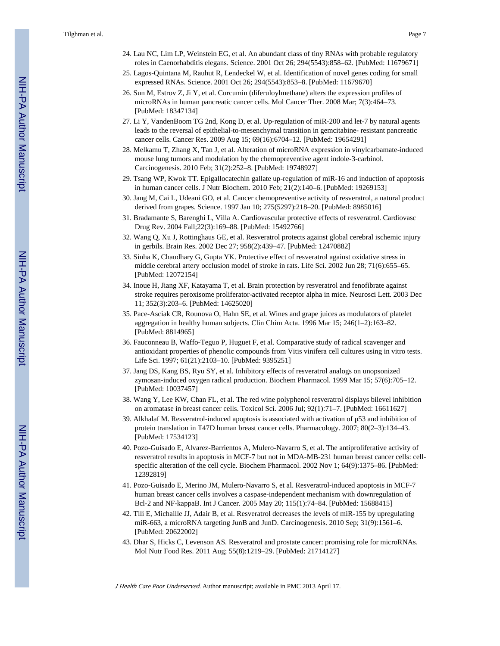Tilghman et al. Page 7

- 24. Lau NC, Lim LP, Weinstein EG, et al. An abundant class of tiny RNAs with probable regulatory roles in Caenorhabditis elegans. Science. 2001 Oct 26; 294(5543):858–62. [PubMed: 11679671]
- 25. Lagos-Quintana M, Rauhut R, Lendeckel W, et al. Identification of novel genes coding for small expressed RNAs. Science. 2001 Oct 26; 294(5543):853–8. [PubMed: 11679670]
- 26. Sun M, Estrov Z, Ji Y, et al. Curcumin (diferuloylmethane) alters the expression profiles of microRNAs in human pancreatic cancer cells. Mol Cancer Ther. 2008 Mar; 7(3):464–73. [PubMed: 18347134]
- 27. Li Y, VandenBoom TG 2nd, Kong D, et al. Up-regulation of miR-200 and let-7 by natural agents leads to the reversal of epithelial-to-mesenchymal transition in gemcitabine- resistant pancreatic cancer cells. Cancer Res. 2009 Aug 15; 69(16):6704–12. [PubMed: 19654291]
- 28. Melkamu T, Zhang X, Tan J, et al. Alteration of microRNA expression in vinylcarbamate-induced mouse lung tumors and modulation by the chemopreventive agent indole-3-carbinol. Carcinogenesis. 2010 Feb; 31(2):252–8. [PubMed: 19748927]
- 29. Tsang WP, Kwok TT. Epigallocatechin gallate up-regulation of miR-16 and induction of apoptosis in human cancer cells. J Nutr Biochem. 2010 Feb; 21(2):140–6. [PubMed: 19269153]
- 30. Jang M, Cai L, Udeani GO, et al. Cancer chemopreventive activity of resveratrol, a natural product derived from grapes. Science. 1997 Jan 10; 275(5297):218–20. [PubMed: 8985016]
- 31. Bradamante S, Barenghi L, Villa A. Cardiovascular protective effects of resveratrol. Cardiovasc Drug Rev. 2004 Fall;22(3):169–88. [PubMed: 15492766]
- 32. Wang Q, Xu J, Rottinghaus GE, et al. Resveratrol protects against global cerebral ischemic injury in gerbils. Brain Res. 2002 Dec 27; 958(2):439–47. [PubMed: 12470882]
- 33. Sinha K, Chaudhary G, Gupta YK. Protective effect of resveratrol against oxidative stress in middle cerebral artery occlusion model of stroke in rats. Life Sci. 2002 Jun 28; 71(6):655–65. [PubMed: 12072154]
- 34. Inoue H, Jiang XF, Katayama T, et al. Brain protection by resveratrol and fenofibrate against stroke requires peroxisome proliferator-activated receptor alpha in mice. Neurosci Lett. 2003 Dec 11; 352(3):203–6. [PubMed: 14625020]
- 35. Pace-Asciak CR, Rounova O, Hahn SE, et al. Wines and grape juices as modulators of platelet aggregation in healthy human subjects. Clin Chim Acta. 1996 Mar 15; 246(1–2):163–82. [PubMed: 8814965]
- 36. Fauconneau B, Waffo-Teguo P, Huguet F, et al. Comparative study of radical scavenger and antioxidant properties of phenolic compounds from Vitis vinifera cell cultures using in vitro tests. Life Sci. 1997; 61(21):2103–10. [PubMed: 9395251]
- 37. Jang DS, Kang BS, Ryu SY, et al. Inhibitory effects of resveratrol analogs on unopsonized zymosan-induced oxygen radical production. Biochem Pharmacol. 1999 Mar 15; 57(6):705–12. [PubMed: 10037457]
- 38. Wang Y, Lee KW, Chan FL, et al. The red wine polyphenol resveratrol displays bilevel inhibition on aromatase in breast cancer cells. Toxicol Sci. 2006 Jul; 92(1):71–7. [PubMed: 16611627]
- 39. Alkhalaf M. Resveratrol-induced apoptosis is associated with activation of p53 and inhibition of protein translation in T47D human breast cancer cells. Pharmacology. 2007; 80(2–3):134–43. [PubMed: 17534123]
- 40. Pozo-Guisado E, Alvarez-Barrientos A, Mulero-Navarro S, et al. The antiproliferative activity of resveratrol results in apoptosis in MCF-7 but not in MDA-MB-231 human breast cancer cells: cellspecific alteration of the cell cycle. Biochem Pharmacol. 2002 Nov 1; 64(9):1375–86. [PubMed: 12392819]
- 41. Pozo-Guisado E, Merino JM, Mulero-Navarro S, et al. Resveratrol-induced apoptosis in MCF-7 human breast cancer cells involves a caspase-independent mechanism with downregulation of Bcl-2 and NF-kappaB. Int J Cancer. 2005 May 20; 115(1):74–84. [PubMed: 15688415]
- 42. Tili E, Michaille JJ, Adair B, et al. Resveratrol decreases the levels of miR-155 by upregulating miR-663, a microRNA targeting JunB and JunD. Carcinogenesis. 2010 Sep; 31(9):1561–6. [PubMed: 20622002]
- 43. Dhar S, Hicks C, Levenson AS. Resveratrol and prostate cancer: promising role for microRNAs. Mol Nutr Food Res. 2011 Aug; 55(8):1219–29. [PubMed: 21714127]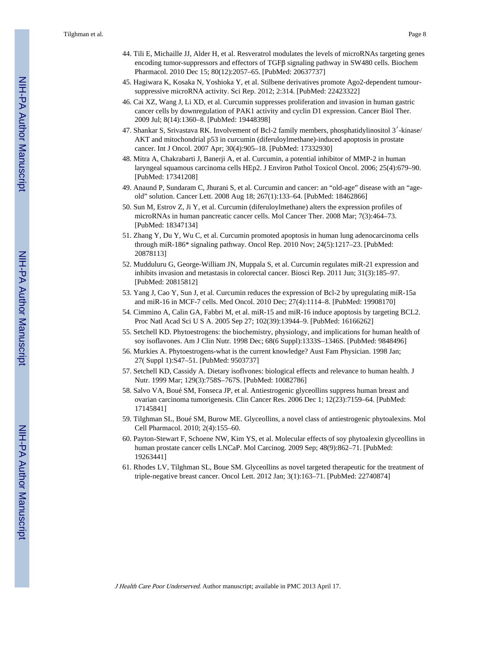- 44. Tili E, Michaille JJ, Alder H, et al. Resveratrol modulates the levels of microRNAs targeting genes encoding tumor-suppressors and effectors of TGFβ signaling pathway in SW480 cells. Biochem Pharmacol. 2010 Dec 15; 80(12):2057–65. [PubMed: 20637737]
- 45. Hagiwara K, Kosaka N, Yoshioka Y, et al. Stilbene derivatives promote Ago2-dependent tumoursuppressive microRNA activity. Sci Rep. 2012; 2:314. [PubMed: 22423322]
- 46. Cai XZ, Wang J, Li XD, et al. Curcumin suppresses proliferation and invasion in human gastric cancer cells by downregulation of PAK1 activity and cyclin D1 expression. Cancer Biol Ther. 2009 Jul; 8(14):1360–8. [PubMed: 19448398]
- 47. Shankar S, Srivastava RK. Involvement of Bcl-2 family members, phosphatidylinositol 3′-kinase/ AKT and mitochondrial p53 in curcumin (diferuloylmethane)-induced apoptosis in prostate cancer. Int J Oncol. 2007 Apr; 30(4):905–18. [PubMed: 17332930]
- 48. Mitra A, Chakrabarti J, Banerji A, et al. Curcumin, a potential inhibitor of MMP-2 in human laryngeal squamous carcinoma cells HEp2. J Environ Pathol Toxicol Oncol. 2006; 25(4):679–90. [PubMed: 17341208]
- 49. Anaund P, Sundaram C, Jhurani S, et al. Curcumin and cancer: an "old-age" disease with an "ageold" solution. Cancer Lett. 2008 Aug 18; 267(1):133–64. [PubMed: 18462866]
- 50. Sun M, Estrov Z, Ji Y, et al. Curcumin (diferuloylmethane) alters the expression profiles of microRNAs in human pancreatic cancer cells. Mol Cancer Ther. 2008 Mar; 7(3):464–73. [PubMed: 18347134]
- 51. Zhang Y, Du Y, Wu C, et al. Curcumin promoted apoptosis in human lung adenocarcinoma cells through miR-186\* signaling pathway. Oncol Rep. 2010 Nov; 24(5):1217–23. [PubMed: 20878113]
- 52. Mudduluru G, George-William JN, Muppala S, et al. Curcumin regulates miR-21 expression and inhibits invasion and metastasis in colorectal cancer. Biosci Rep. 2011 Jun; 31(3):185–97. [PubMed: 20815812]
- 53. Yang J, Cao Y, Sun J, et al. Curcumin reduces the expression of Bcl-2 by upregulating miR-15a and miR-16 in MCF-7 cells. Med Oncol. 2010 Dec; 27(4):1114–8. [PubMed: 19908170]
- 54. Cimmino A, Calin GA, Fabbri M, et al. miR-15 and miR-16 induce apoptosis by targeting BCL2. Proc Natl Acad Sci U S A. 2005 Sep 27; 102(39):13944–9. [PubMed: 16166262]
- 55. Setchell KD. Phytoestrogens: the biochemistry, physiology, and implications for human health of soy isoflavones. Am J Clin Nutr. 1998 Dec; 68(6 Suppl):1333S–1346S. [PubMed: 9848496]
- 56. Murkies A. Phytoestrogens-what is the current knowledge? Aust Fam Physician. 1998 Jan; 27( Suppl 1):S47–51. [PubMed: 9503737]
- 57. Setchell KD, Cassidy A. Dietary isoflvones: biological effects and relevance to human health. J Nutr. 1999 Mar; 129(3):758S–767S. [PubMed: 10082786]
- 58. Salvo VA, Boué SM, Fonseca JP, et al. Antiestrogenic glyceollins suppress human breast and ovarian carcinoma tumorigenesis. Clin Cancer Res. 2006 Dec 1; 12(23):7159–64. [PubMed: 17145841]
- 59. Tilghman SL, Boué SM, Burow ME. Glyceollins, a novel class of antiestrogenic phytoalexins. Mol Cell Pharmacol. 2010; 2(4):155–60.
- 60. Payton-Stewart F, Schoene NW, Kim YS, et al. Molecular effects of soy phytoalexin glyceollins in human prostate cancer cells LNCaP. Mol Carcinog. 2009 Sep; 48(9):862–71. [PubMed: 19263441]
- 61. Rhodes LV, Tilghman SL, Boue SM. Glyceollins as novel targeted therapeutic for the treatment of triple-negative breast cancer. Oncol Lett. 2012 Jan; 3(1):163–71. [PubMed: 22740874]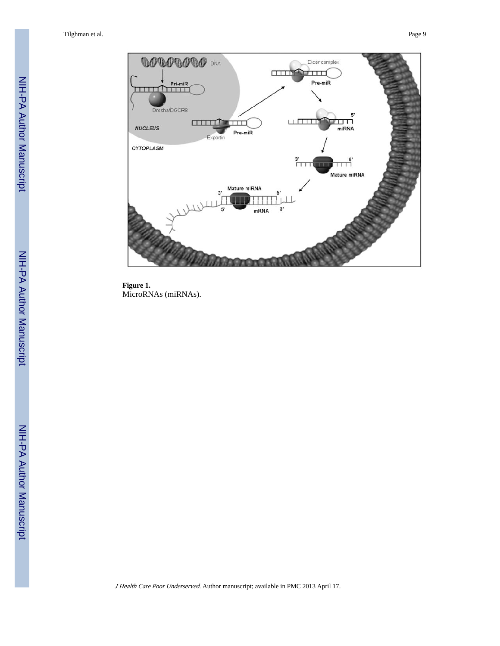Tilghman et al. Page 9



**Figure 1.** MicroRNAs (miRNAs).